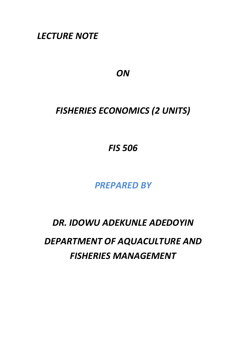*LECTURE NOTE* 

*ON* 

# *FISHERIES ECONOMICS (2 UNITS)*

*FIS 506* 

*PREPARED BY* 

*DR. IDOWU ADEKUNLE ADEDOYIN* 

*DEPARTMENT OF AQUACULTURE AND FISHERIES MANAGEMENT*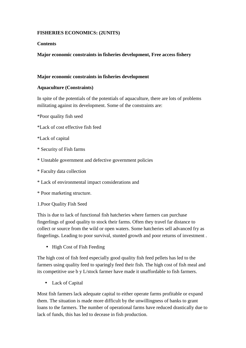## **FISHERIES ECONOMICS: (2UNITS)**

### **Contents**

## **Major economic constraints in fisheries development, Free access fishery**

#### **Major economic constraints in fisheries development**

#### **Aquaculture (Constraints)**

In spite of the potentials of the potentials of aquaculture, there are lots of problems militating against its development. Some of the constraints are:

- \*Poor quality fish seed
- \*Lack of cost effective fish feed
- \*Lack of capital
- \* Security of Fish farms
- \* Unstable government and defective government policies
- \* Faculty data collection
- \* Lack of environmental impact considerations and
- \* Poor marketing structure.
- 1.Poor Quality Fish Seed

This is due to lack of functional fish hatcheries where farmers can purchase fingerlings of good quality to stock their farms. Often they travel far distance to collect or source from the wild or open waters. Some hatcheries sell advanced fry as fingerlings. Leading to poor survival, stunted growth and poor returns of investment .

• High Cost of Fish Feeding

The high cost of fish feed especially good quality fish feed pellets has led to the farmers using quality feed to sparingly feed their fish. The high cost of fish meal and its competitive use b y L/stock farmer have made it unaffordable to fish farmers.

• Lack of Capital

Most fish farmers lack adequate capital to either operate farms profitable or expand them. The situation is made more difficult by the unwillingness of banks to grant loans to the farmers. The number of operational farms have reduced drastically due to lack of funds, this has led to decease in fish production.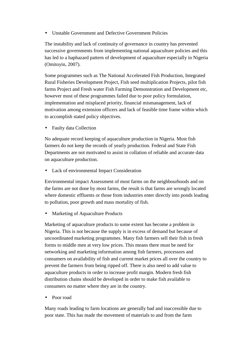• Unstable Government and Defective Government Policies

The instability and lack of continuity of governance in country has prevented successive governments from implementing national aquaculture policies and this has led to a haphazard pattern of development of aquaculture especially in Nigeria (Omitoyin, 2007).

Some programmes such as The National Accelerated Fish Production, Integrated Rural Fisheries Development Project, Fish seed multiplication Projects, pilot fish farms Project and Fresh water Fish Farming Demonstration and Development etc, however most of these programmes failed due to poor policy formulation, implementation and misplaced priority, financial mismanagement, lack of motivation among extension officers and lack of feasible time frame within which to accomplish stated policy objectives.

• Faulty data Collection

No adequate record keeping of aquaculture production in Nigeria. Most fish farmers do not keep the records of yearly production. Federal and State Fish Departments are not motivated to assist in collation of reliable and accurate data on aquaculture production.

Lack of environmental Impact Consideration

Environmental impact Assessment of most farms on the neighbourhoods and on the farms are not done by most farms, the result is that farms are wrongly located where domestic effluents or those from industries enter directly into ponds leading to pollution, poor growth and mass mortality of fish.

• Marketing of Aquaculture Products

Marketing of aquaculture products to some extent has become a problem in Nigeria. This is not because the supply is in excess of demand but because of uncoordinated marketing programmes. Many fish farmers sell their fish in fresh forms to middle men at very low prices. This means there must be need for networking and marketing information among fish farmers, processors and consumers on availability of fish and current market prices all over the country to prevent the farmers from being ripped off. There is also need to add value to aquaculture products in order to increase profit margin. Modern fresh fish distribution chains should be developed in order to make fish available to consumers no matter where they are in the country.

Poor road

Many roads leading to farm locations are generally bad and inaccessible due to poor state. This has made the movement of materials to and from the farm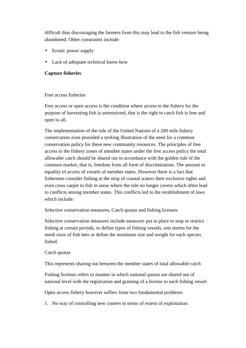difficult thus discouraging the farmers from this may lead to the fish venture being abandoned. Other constraints include:

- Erratic power supply
- Lack of adequate technical know-how

#### **Capture fisheries**

#### Free access fisheries

Free access or open access is the condition where access to the fishery for the purpose of harvesting fish is unrestricted, that is the right to catch fish is free and open to all.

The implementation of the rule of the United Nations of a 200 mile fishery conservation zone provided a striking illustration of the need for a common conservation policy for these new community resources. The principles of free access to the fishery zones of member states under the free access policy the total allowable catch should be shared out in accordance with the golden rule of the common market, that is, freedom from all form of discrimination. The amount to equality of access of vessels of member states. However there is a fact that fishermen consider fishing at the strip of coastal waters their exclusive rights and even cross carpet to fish in areas where the rule no longer covers which often lead to conflicts among member states. This conflicts led to the establishment of laws which include:

Selective conservation measures, Catch quotas and fishing licenses

Selective conservation measures include measures put in place to stop or restrict fishing at certain periods, to define types of fishing vessels, sets norms for the mesh sizes of fish nets or define the minimum size and weight for each species fished.

## Catch quotas

This represents sharing out between the member states of total allowable catch

Fishing licenses refers to manner in which national quotas are shared out of national level with the registration and granting of a license to each fishing vessel.

Open access fishery however suffers from two fundamental problems

1. No way of controlling new comers in terms of extent of exploitation